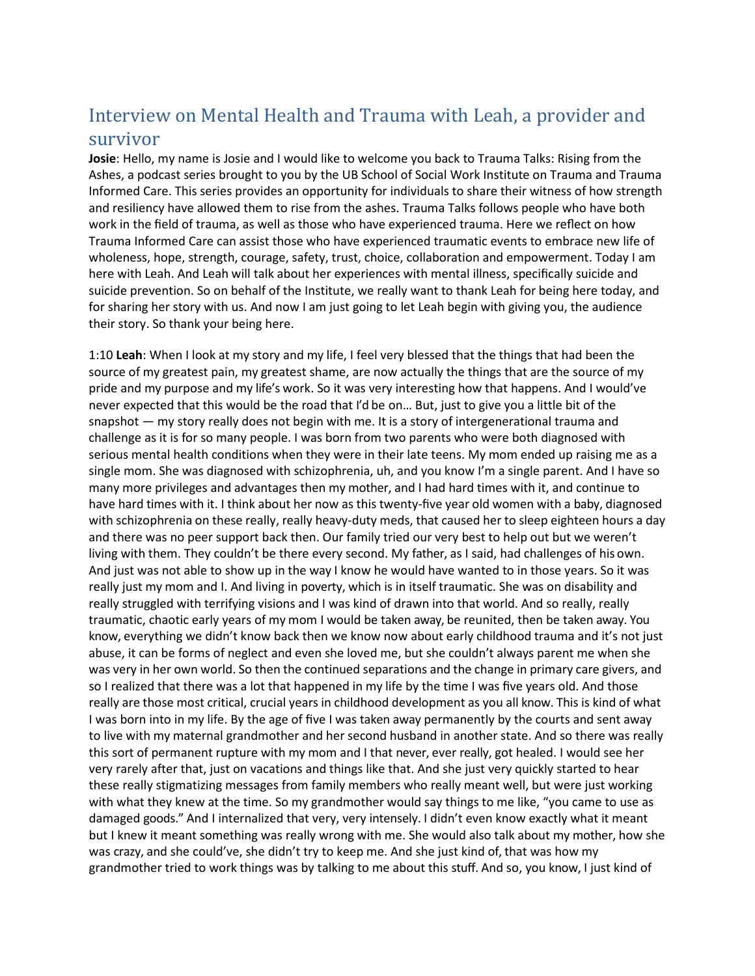## Interview on Mental Health and Trauma with Leah, a provider and survivor

**Josie**: Hello, my name is Josie and I would like to welcome you back to Trauma Talks: Rising from the Ashes, a podcast series brought to you by the UB School of Social Work Institute on Trauma and Trauma Informed Care. This series provides an opportunity for individuals to share their witness of how strength and resiliency have allowed them to rise from the ashes. Trauma Talks follows people who have both work in the field of trauma, as well as those who have experienced trauma. Here we reflect on how Trauma Informed Care can assist those who have experienced traumatic events to embrace new life of wholeness, hope, strength, courage, safety, trust, choice, collaboration and empowerment. Today I am here with Leah. And Leah will talk about her experiences with mental illness, specifically suicide and suicide prevention. So on behalf of the Institute, we really want to thank Leah for being here today, and for sharing her story with us. And now I am just going to let Leah begin with giving you, the audience their story. So thank your being here.

1:10 **Leah**: When I look at my story and my life, I feel very blessed that the things that had been the source of my greatest pain, my greatest shame, are now actually the things that are the source of my pride and my purpose and my life's work. So it was very interesting how that happens. And I would've never expected that this would be the road that I'd be on… But, just to give you a little bit of the snapshot — my story really does not begin with me. It is a story of intergenerational trauma and challenge as it is for so many people. I was born from two parents who were both diagnosed with serious mental health conditions when they were in their late teens. My mom ended up raising me as a single mom. She was diagnosed with schizophrenia, uh, and you know I'm a single parent. And I have so many more privileges and advantages then my mother, and I had hard times with it, and continue to have hard times with it. I think about her now as this twenty-five year old women with a baby, diagnosed with schizophrenia on these really, really heavy-duty meds, that caused her to sleep eighteen hours a day and there was no peer support back then. Our family tried our very best to help out but we weren't living with them. They couldn't be there every second. My father, as I said, had challenges of his own. And just was not able to show up in the way I know he would have wanted to in those years. So it was really just my mom and I. And living in poverty, which is in itself traumatic. She was on disability and really struggled with terrifying visions and I was kind of drawn into that world. And so really, really traumatic, chaotic early years of my mom I would be taken away, be reunited, then be taken away. You know, everything we didn't know back then we know now about early childhood trauma and it's not just abuse, it can be forms of neglect and even she loved me, but she couldn't always parent me when she was very in her own world. So then the continued separations and the change in primary care givers, and so I realized that there was a lot that happened in my life by the time I was five years old. And those really are those most critical, crucial years in childhood development as you all know. This is kind of what I was born into in my life. By the age of five I was taken away permanently by the courts and sent away to live with my maternal grandmother and her second husband in another state. And so there was really this sort of permanent rupture with my mom and I that never, ever really, got healed. I would see her very rarely after that, just on vacations and things like that. And she just very quickly started to hear these really stigmatizing messages from family members who really meant well, but were just working with what they knew at the time. So my grandmother would say things to me like, "you came to use as damaged goods." And I internalized that very, very intensely. I didn't even know exactly what it meant but I knew it meant something was really wrong with me. She would also talk about my mother, how she was crazy, and she could've, she didn't try to keep me. And she just kind of, that was how my grandmother tried to work things was by talking to me about this stuff. And so, you know, I just kind of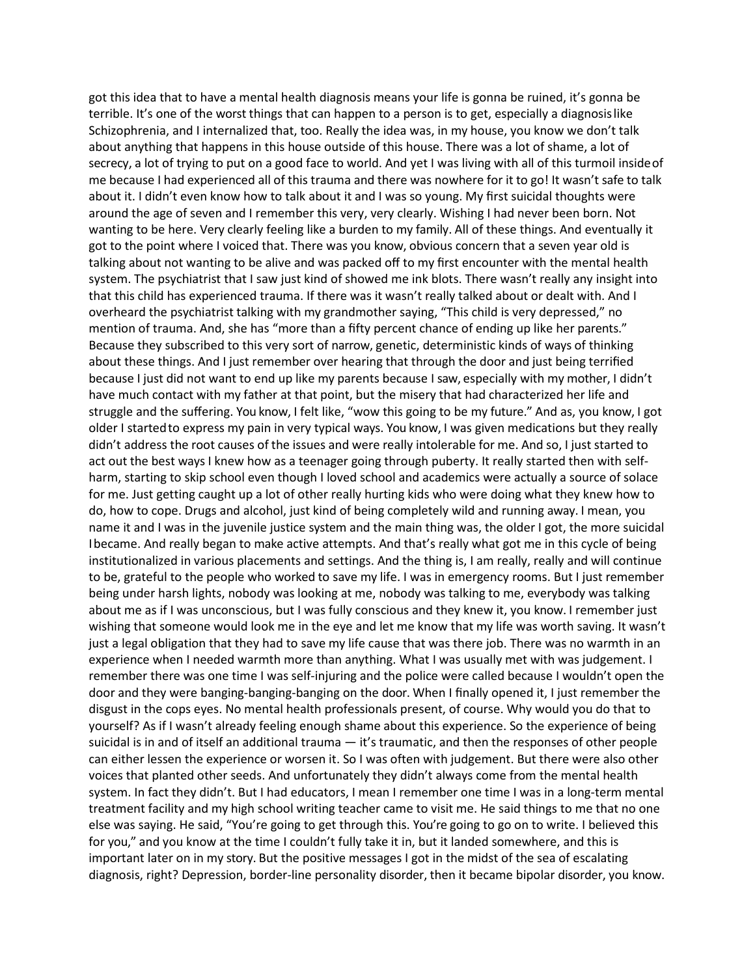got this idea that to have a mental health diagnosis means your life is gonna be ruined, it's gonna be terrible. It's one of the worst things that can happen to a person is to get, especially a diagnosislike Schizophrenia, and I internalized that, too. Really the idea was, in my house, you know we don't talk about anything that happens in this house outside of this house. There was a lot of shame, a lot of secrecy, a lot of trying to put on a good face to world. And yet I was living with all of this turmoil insideof me because I had experienced all of this trauma and there was nowhere for it to go! It wasn't safe to talk about it. I didn't even know how to talk about it and I was so young. My first suicidal thoughts were around the age of seven and I remember this very, very clearly. Wishing I had never been born. Not wanting to be here. Very clearly feeling like a burden to my family. All of these things. And eventually it got to the point where I voiced that. There was you know, obvious concern that a seven year old is talking about not wanting to be alive and was packed off to my first encounter with the mental health system. The psychiatrist that I saw just kind of showed me ink blots. There wasn't really any insight into that this child has experienced trauma. If there was it wasn't really talked about or dealt with. And I overheard the psychiatrist talking with my grandmother saying, "This child is very depressed," no mention of trauma. And, she has "more than a fifty percent chance of ending up like her parents." Because they subscribed to this very sort of narrow, genetic, deterministic kinds of ways of thinking about these things. And I just remember over hearing that through the door and just being terrified because I just did not want to end up like my parents because I saw, especially with my mother, I didn't have much contact with my father at that point, but the misery that had characterized her life and struggle and the suffering. You know, I felt like, "wow this going to be my future." And as, you know, I got older I startedto express my pain in very typical ways. You know, I was given medications but they really didn't address the root causes of the issues and were really intolerable for me. And so, I just started to act out the best ways I knew how as a teenager going through puberty. It really started then with selfharm, starting to skip school even though I loved school and academics were actually a source of solace for me. Just getting caught up a lot of other really hurting kids who were doing what they knew how to do, how to cope. Drugs and alcohol, just kind of being completely wild and running away. I mean, you name it and I was in the juvenile justice system and the main thing was, the older I got, the more suicidal Ibecame. And really began to make active attempts. And that's really what got me in this cycle of being institutionalized in various placements and settings. And the thing is, I am really, really and will continue to be, grateful to the people who worked to save my life. I was in emergency rooms. But I just remember being under harsh lights, nobody was looking at me, nobody was talking to me, everybody was talking about me as if I was unconscious, but I was fully conscious and they knew it, you know. I remember just wishing that someone would look me in the eye and let me know that my life was worth saving. It wasn't just a legal obligation that they had to save my life cause that was there job. There was no warmth in an experience when I needed warmth more than anything. What I was usually met with was judgement. I remember there was one time I was self-injuring and the police were called because I wouldn't open the door and they were banging-banging-banging on the door. When I finally opened it, I just remember the disgust in the cops eyes. No mental health professionals present, of course. Why would you do that to yourself? As if I wasn't already feeling enough shame about this experience. So the experience of being suicidal is in and of itself an additional trauma — it's traumatic, and then the responses of other people can either lessen the experience or worsen it. So I was often with judgement. But there were also other voices that planted other seeds. And unfortunately they didn't always come from the mental health system. In fact they didn't. But I had educators, I mean I remember one time I was in a long-term mental treatment facility and my high school writing teacher came to visit me. He said things to me that no one else was saying. He said, "You're going to get through this. You're going to go on to write. I believed this for you," and you know at the time I couldn't fully take it in, but it landed somewhere, and this is important later on in my story. But the positive messages I got in the midst of the sea of escalating diagnosis, right? Depression, border-line personality disorder, then it became bipolar disorder, you know.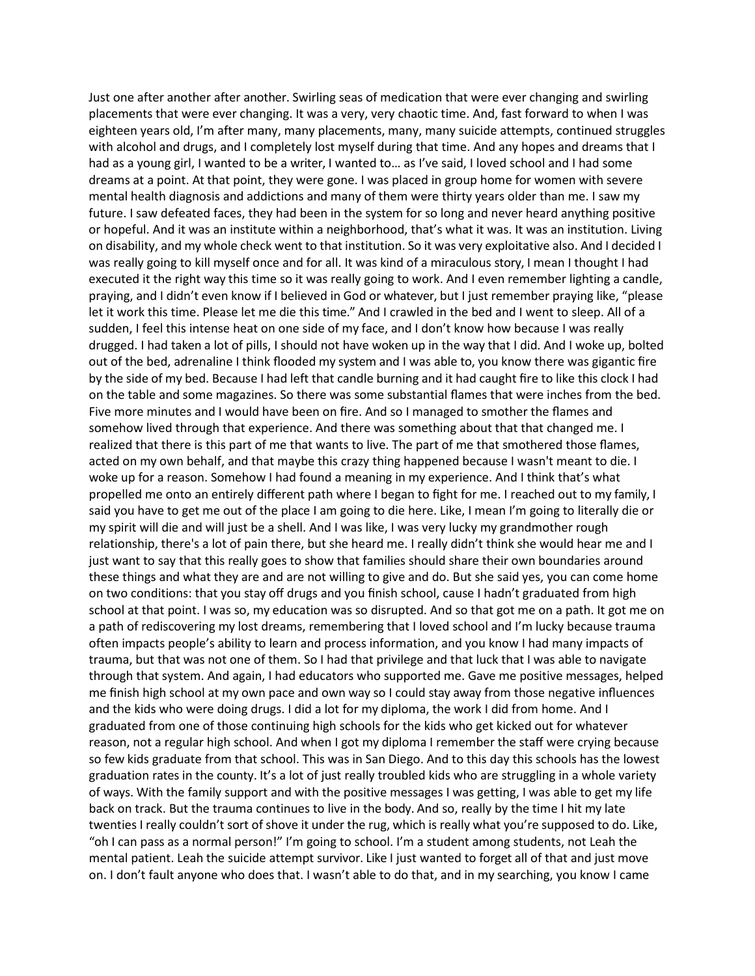Just one after another after another. Swirling seas of medication that were ever changing and swirling placements that were ever changing. It was a very, very chaotic time. And, fast forward to when I was eighteen years old, I'm after many, many placements, many, many suicide attempts, continued struggles with alcohol and drugs, and I completely lost myself during that time. And any hopes and dreams that I had as a young girl, I wanted to be a writer, I wanted to… as I've said, I loved school and I had some dreams at a point. At that point, they were gone. I was placed in group home for women with severe mental health diagnosis and addictions and many of them were thirty years older than me. I saw my future. I saw defeated faces, they had been in the system for so long and never heard anything positive or hopeful. And it was an institute within a neighborhood, that's what it was. It was an institution. Living on disability, and my whole check went to that institution. So it was very exploitative also. And I decided I was really going to kill myself once and for all. It was kind of a miraculous story, I mean I thought I had executed it the right way this time so it was really going to work. And I even remember lighting a candle, praying, and I didn't even know if I believed in God or whatever, but I just remember praying like, "please let it work this time. Please let me die this time." And I crawled in the bed and I went to sleep. All of a sudden, I feel this intense heat on one side of my face, and I don't know how because I was really drugged. I had taken a lot of pills, I should not have woken up in the way that I did. And I woke up, bolted out of the bed, adrenaline I think flooded my system and I was able to, you know there was gigantic fire by the side of my bed. Because I had left that candle burning and it had caught fire to like this clock I had on the table and some magazines. So there was some substantial flames that were inches from the bed. Five more minutes and I would have been on fire. And so I managed to smother the flames and somehow lived through that experience. And there was something about that that changed me. I realized that there is this part of me that wants to live. The part of me that smothered those flames, acted on my own behalf, and that maybe this crazy thing happened because I wasn't meant to die. I woke up for a reason. Somehow I had found a meaning in my experience. And I think that's what propelled me onto an entirely different path where I began to fight for me. I reached out to my family, I said you have to get me out of the place I am going to die here. Like, I mean I'm going to literally die or my spirit will die and will just be a shell. And I was like, I was very lucky my grandmother rough relationship, there's a lot of pain there, but she heard me. I really didn't think she would hear me and I just want to say that this really goes to show that families should share their own boundaries around these things and what they are and are not willing to give and do. But she said yes, you can come home on two conditions: that you stay off drugs and you finish school, cause I hadn't graduated from high school at that point. I was so, my education was so disrupted. And so that got me on a path. It got me on a path of rediscovering my lost dreams, remembering that I loved school and I'm lucky because trauma often impacts people's ability to learn and process information, and you know I had many impacts of trauma, but that was not one of them. So I had that privilege and that luck that I was able to navigate through that system. And again, I had educators who supported me. Gave me positive messages, helped me finish high school at my own pace and own way so I could stay away from those negative influences and the kids who were doing drugs. I did a lot for my diploma, the work I did from home. And I graduated from one of those continuing high schools for the kids who get kicked out for whatever reason, not a regular high school. And when I got my diploma I remember the staff were crying because so few kids graduate from that school. This was in San Diego. And to this day this schools has the lowest graduation rates in the county. It's a lot of just really troubled kids who are struggling in a whole variety of ways. With the family support and with the positive messages I was getting, I was able to get my life back on track. But the trauma continues to live in the body. And so, really by the time I hit my late twenties I really couldn't sort of shove it under the rug, which is really what you're supposed to do. Like, "oh I can pass as a normal person!" I'm going to school. I'm a student among students, not Leah the mental patient. Leah the suicide attempt survivor. Like I just wanted to forget all of that and just move on. I don't fault anyone who does that. I wasn't able to do that, and in my searching, you know I came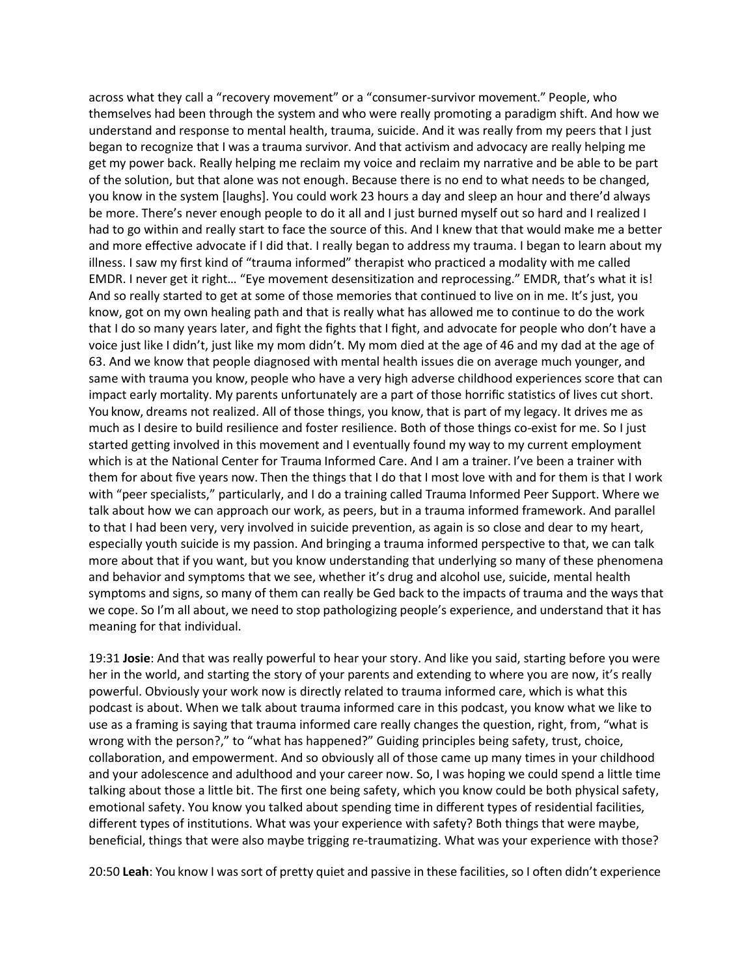across what they call a "recovery movement" or a "consumer-survivor movement." People, who themselves had been through the system and who were really promoting a paradigm shift. And how we understand and response to mental health, trauma, suicide. And it was really from my peers that I just began to recognize that I was a trauma survivor. And that activism and advocacy are really helping me get my power back. Really helping me reclaim my voice and reclaim my narrative and be able to be part of the solution, but that alone was not enough. Because there is no end to what needs to be changed, you know in the system [laughs]. You could work 23 hours a day and sleep an hour and there'd always be more. There's never enough people to do it all and I just burned myself out so hard and I realized I had to go within and really start to face the source of this. And I knew that that would make me a better and more effective advocate if I did that. I really began to address my trauma. I began to learn about my illness. I saw my first kind of "trauma informed" therapist who practiced a modality with me called EMDR. I never get it right… "Eye movement desensitization and reprocessing." EMDR, that's what it is! And so really started to get at some of those memories that continued to live on in me. It's just, you know, got on my own healing path and that is really what has allowed me to continue to do the work that I do so many years later, and fight the fights that I fight, and advocate for people who don't have a voice just like I didn't, just like my mom didn't. My mom died at the age of 46 and my dad at the age of 63. And we know that people diagnosed with mental health issues die on average much younger, and same with trauma you know, people who have a very high adverse childhood experiences score that can impact early mortality. My parents unfortunately are a part of those horrific statistics of lives cut short. You know, dreams not realized. All of those things, you know, that is part of my legacy. It drives me as much as I desire to build resilience and foster resilience. Both of those things co-exist for me. So I just started getting involved in this movement and I eventually found my way to my current employment which is at the National Center for Trauma Informed Care. And I am a trainer. I've been a trainer with them for about five years now. Then the things that I do that I most love with and for them is that I work with "peer specialists," particularly, and I do a training called Trauma Informed Peer Support. Where we talk about how we can approach our work, as peers, but in a trauma informed framework. And parallel to that I had been very, very involved in suicide prevention, as again is so close and dear to my heart, especially youth suicide is my passion. And bringing a trauma informed perspective to that, we can talk more about that if you want, but you know understanding that underlying so many of these phenomena and behavior and symptoms that we see, whether it's drug and alcohol use, suicide, mental health symptoms and signs, so many of them can really be Ged back to the impacts of trauma and the ways that we cope. So I'm all about, we need to stop pathologizing people's experience, and understand that it has meaning for that individual.

19:31 **Josie**: And that was really powerful to hear your story. And like you said, starting before you were her in the world, and starting the story of your parents and extending to where you are now, it's really powerful. Obviously your work now is directly related to trauma informed care, which is what this podcast is about. When we talk about trauma informed care in this podcast, you know what we like to use as a framing is saying that trauma informed care really changes the question, right, from, "what is wrong with the person?," to "what has happened?" Guiding principles being safety, trust, choice, collaboration, and empowerment. And so obviously all of those came up many times in your childhood and your adolescence and adulthood and your career now. So, I was hoping we could spend a little time talking about those a little bit. The first one being safety, which you know could be both physical safety, emotional safety. You know you talked about spending time in different types of residential facilities, different types of institutions. What was your experience with safety? Both things that were maybe, beneficial, things that were also maybe trigging re-traumatizing. What was your experience with those?

20:50 **Leah**: You know I wassort of pretty quiet and passive in these facilities, so I often didn't experience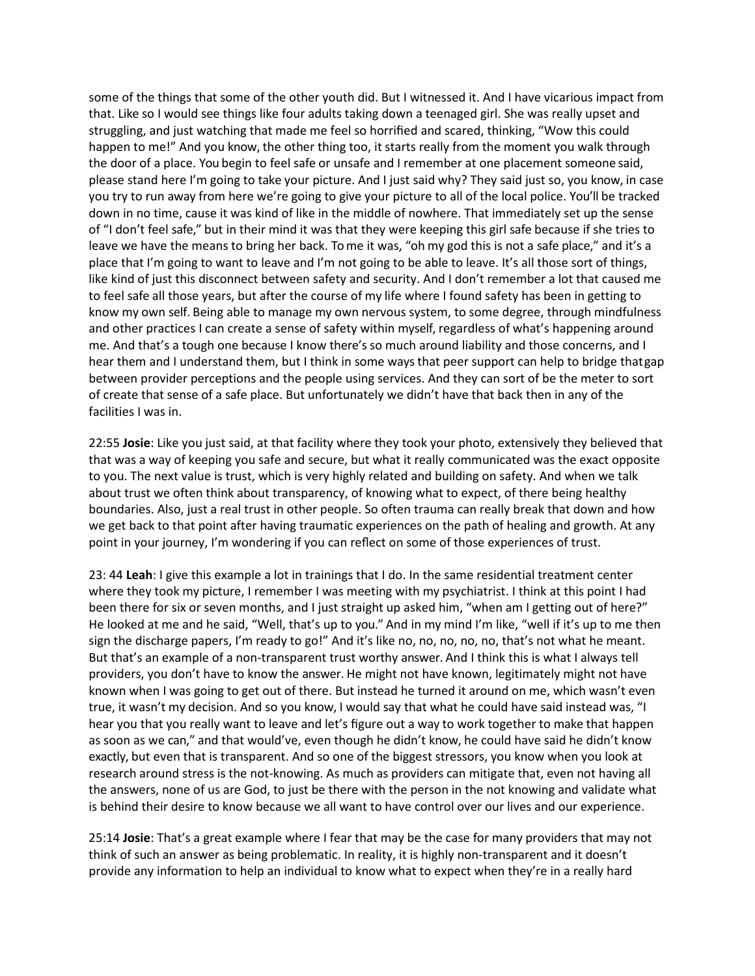some of the things that some of the other youth did. But I witnessed it. And I have vicarious impact from that. Like so I would see things like four adults taking down a teenaged girl. She was really upset and struggling, and just watching that made me feel so horrified and scared, thinking, "Wow this could happen to me!" And you know, the other thing too, it starts really from the moment you walk through the door of a place. You begin to feel safe or unsafe and I remember at one placement someone said, please stand here I'm going to take your picture. And I just said why? They said just so, you know, in case you try to run away from here we're going to give your picture to all of the local police. You'll be tracked down in no time, cause it was kind of like in the middle of nowhere. That immediately set up the sense of "I don't feel safe," but in their mind it was that they were keeping this girl safe because if she tries to leave we have the means to bring her back. To me it was, "oh my god this is not a safe place," and it's a place that I'm going to want to leave and I'm not going to be able to leave. It's all those sort of things, like kind of just this disconnect between safety and security. And I don't remember a lot that caused me to feel safe all those years, but after the course of my life where I found safety has been in getting to know my own self. Being able to manage my own nervous system, to some degree, through mindfulness and other practices I can create a sense of safety within myself, regardless of what's happening around me. And that's a tough one because I know there's so much around liability and those concerns, and I hear them and I understand them, but I think in some ways that peer support can help to bridge thatgap between provider perceptions and the people using services. And they can sort of be the meter to sort of create that sense of a safe place. But unfortunately we didn't have that back then in any of the facilities I was in.

22:55 **Josie**: Like you just said, at that facility where they took your photo, extensively they believed that that was a way of keeping you safe and secure, but what it really communicated was the exact opposite to you. The next value is trust, which is very highly related and building on safety. And when we talk about trust we often think about transparency, of knowing what to expect, of there being healthy boundaries. Also, just a real trust in other people. So often trauma can really break that down and how we get back to that point after having traumatic experiences on the path of healing and growth. At any point in your journey, I'm wondering if you can reflect on some of those experiences of trust.

23: 44 **Leah**: I give this example a lot in trainings that I do. In the same residential treatment center where they took my picture, I remember I was meeting with my psychiatrist. I think at this point I had been there for six or seven months, and I just straight up asked him, "when am I getting out of here?" He looked at me and he said, "Well, that's up to you." And in my mind I'm like, "well if it's up to me then sign the discharge papers, I'm ready to go!" And it's like no, no, no, no, no, that's not what he meant. But that's an example of a non-transparent trust worthy answer. And I think this is what I always tell providers, you don't have to know the answer. He might not have known, legitimately might not have known when I was going to get out of there. But instead he turned it around on me, which wasn't even true, it wasn't my decision. And so you know, I would say that what he could have said instead was, "I hear you that you really want to leave and let's figure out a way to work together to make that happen as soon as we can," and that would've, even though he didn't know, he could have said he didn't know exactly, but even that is transparent. And so one of the biggest stressors, you know when you look at research around stress is the not-knowing. As much as providers can mitigate that, even not having all the answers, none of us are God, to just be there with the person in the not knowing and validate what is behind their desire to know because we all want to have control over our lives and our experience.

25:14 **Josie**: That's a great example where I fear that may be the case for many providers that may not think of such an answer as being problematic. In reality, it is highly non-transparent and it doesn't provide any information to help an individual to know what to expect when they're in a really hard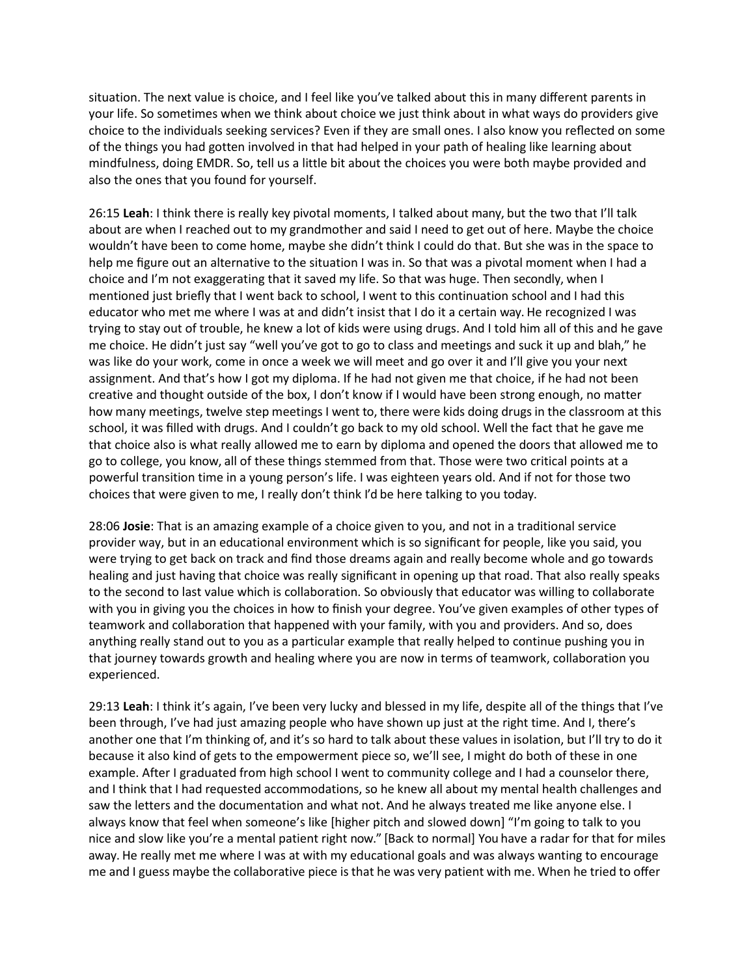situation. The next value is choice, and I feel like you've talked about this in many different parents in your life. So sometimes when we think about choice we just think about in what ways do providers give choice to the individuals seeking services? Even if they are small ones. I also know you reflected on some of the things you had gotten involved in that had helped in your path of healing like learning about mindfulness, doing EMDR. So, tell us a little bit about the choices you were both maybe provided and also the ones that you found for yourself.

26:15 **Leah**: I think there is really key pivotal moments, I talked about many, but the two that I'll talk about are when I reached out to my grandmother and said I need to get out of here. Maybe the choice wouldn't have been to come home, maybe she didn't think I could do that. But she was in the space to help me figure out an alternative to the situation I was in. So that was a pivotal moment when I had a choice and I'm not exaggerating that it saved my life. So that was huge. Then secondly, when I mentioned just briefly that I went back to school, I went to this continuation school and I had this educator who met me where I was at and didn't insist that I do it a certain way. He recognized I was trying to stay out of trouble, he knew a lot of kids were using drugs. And I told him all of this and he gave me choice. He didn't just say "well you've got to go to class and meetings and suck it up and blah," he was like do your work, come in once a week we will meet and go over it and I'll give you your next assignment. And that's how I got my diploma. If he had not given me that choice, if he had not been creative and thought outside of the box, I don't know if I would have been strong enough, no matter how many meetings, twelve step meetings I went to, there were kids doing drugs in the classroom at this school, it was filled with drugs. And I couldn't go back to my old school. Well the fact that he gave me that choice also is what really allowed me to earn by diploma and opened the doors that allowed me to go to college, you know, all of these things stemmed from that. Those were two critical points at a powerful transition time in a young person's life. I was eighteen years old. And if not for those two choices that were given to me, I really don't think I'd be here talking to you today.

28:06 **Josie**: That is an amazing example of a choice given to you, and not in a traditional service provider way, but in an educational environment which is so significant for people, like you said, you were trying to get back on track and find those dreams again and really become whole and go towards healing and just having that choice was really significant in opening up that road. That also really speaks to the second to last value which is collaboration. So obviously that educator was willing to collaborate with you in giving you the choices in how to finish your degree. You've given examples of other types of teamwork and collaboration that happened with your family, with you and providers. And so, does anything really stand out to you as a particular example that really helped to continue pushing you in that journey towards growth and healing where you are now in terms of teamwork, collaboration you experienced.

29:13 **Leah**: I think it's again, I've been very lucky and blessed in my life, despite all of the things that I've been through, I've had just amazing people who have shown up just at the right time. And I, there's another one that I'm thinking of, and it's so hard to talk about these values in isolation, but I'll try to do it because it also kind of gets to the empowerment piece so, we'll see, I might do both of these in one example. After I graduated from high school I went to community college and I had a counselor there, and I think that I had requested accommodations, so he knew all about my mental health challenges and saw the letters and the documentation and what not. And he always treated me like anyone else. I always know that feel when someone's like [higher pitch and slowed down] "I'm going to talk to you nice and slow like you're a mental patient right now." [Back to normal] You have a radar for that for miles away. He really met me where I was at with my educational goals and was always wanting to encourage me and I guess maybe the collaborative piece is that he was very patient with me. When he tried to offer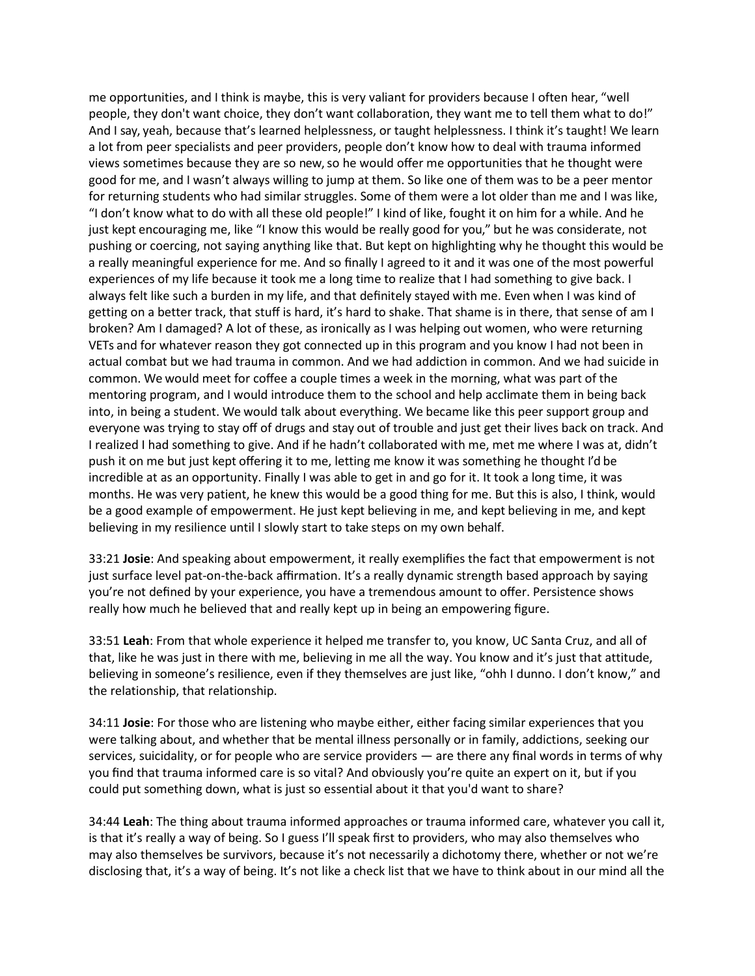me opportunities, and I think is maybe, this is very valiant for providers because I often hear, "well people, they don't want choice, they don't want collaboration, they want me to tell them what to do!" And I say, yeah, because that's learned helplessness, or taught helplessness. I think it's taught! We learn a lot from peer specialists and peer providers, people don't know how to deal with trauma informed views sometimes because they are so new, so he would offer me opportunities that he thought were good for me, and I wasn't always willing to jump at them. So like one of them was to be a peer mentor for returning students who had similar struggles. Some of them were a lot older than me and I was like, "I don't know what to do with all these old people!" I kind of like, fought it on him for a while. And he just kept encouraging me, like "I know this would be really good for you," but he was considerate, not pushing or coercing, not saying anything like that. But kept on highlighting why he thought this would be a really meaningful experience for me. And so finally I agreed to it and it was one of the most powerful experiences of my life because it took me a long time to realize that I had something to give back. I always felt like such a burden in my life, and that definitely stayed with me. Even when I was kind of getting on a better track, that stuff is hard, it's hard to shake. That shame is in there, that sense of am I broken? Am I damaged? A lot of these, as ironically as I was helping out women, who were returning VETs and for whatever reason they got connected up in this program and you know I had not been in actual combat but we had trauma in common. And we had addiction in common. And we had suicide in common. We would meet for coffee a couple times a week in the morning, what was part of the mentoring program, and I would introduce them to the school and help acclimate them in being back into, in being a student. We would talk about everything. We became like this peer support group and everyone was trying to stay off of drugs and stay out of trouble and just get their lives back on track. And I realized I had something to give. And if he hadn't collaborated with me, met me where I was at, didn't push it on me but just kept offering it to me, letting me know it was something he thought I'd be incredible at as an opportunity. Finally I was able to get in and go for it. It took a long time, it was months. He was very patient, he knew this would be a good thing for me. But this is also, I think, would be a good example of empowerment. He just kept believing in me, and kept believing in me, and kept believing in my resilience until I slowly start to take steps on my own behalf.

33:21 **Josie**: And speaking about empowerment, it really exemplifies the fact that empowerment is not just surface level pat-on-the-back affirmation. It's a really dynamic strength based approach by saying you're not defined by your experience, you have a tremendous amount to offer. Persistence shows really how much he believed that and really kept up in being an empowering figure.

33:51 **Leah**: From that whole experience it helped me transfer to, you know, UC Santa Cruz, and all of that, like he was just in there with me, believing in me all the way. You know and it's just that attitude, believing in someone's resilience, even if they themselves are just like, "ohh I dunno. I don't know," and the relationship, that relationship.

34:11 **Josie**: For those who are listening who maybe either, either facing similar experiences that you were talking about, and whether that be mental illness personally or in family, addictions, seeking our services, suicidality, or for people who are service providers — are there any final words in terms of why you find that trauma informed care is so vital? And obviously you're quite an expert on it, but if you could put something down, what is just so essential about it that you'd want to share?

34:44 **Leah**: The thing about trauma informed approaches or trauma informed care, whatever you call it, is that it's really a way of being. So I guess I'll speak first to providers, who may also themselves who may also themselves be survivors, because it's not necessarily a dichotomy there, whether or not we're disclosing that, it's a way of being. It's not like a check list that we have to think about in our mind all the